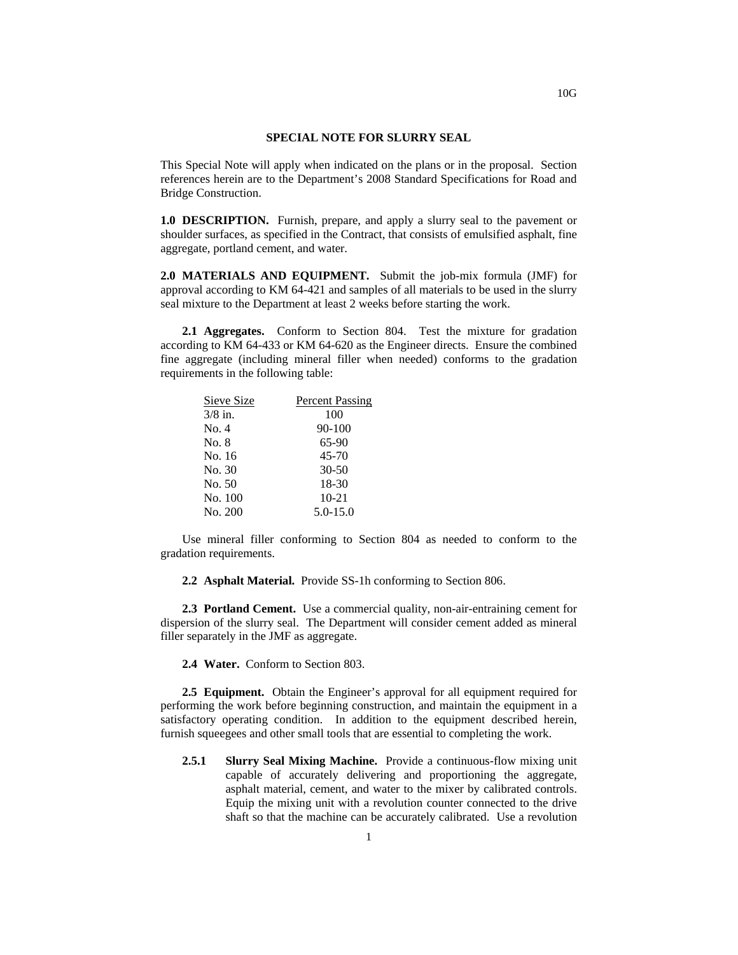## **SPECIAL NOTE FOR SLURRY SEAL**

This Special Note will apply when indicated on the plans or in the proposal. Section references herein are to the Department's 2008 Standard Specifications for Road and Bridge Construction.

**1.0 DESCRIPTION.** Furnish, prepare, and apply a slurry seal to the pavement or shoulder surfaces, as specified in the Contract, that consists of emulsified asphalt, fine aggregate, portland cement, and water.

**2.0 MATERIALS AND EQUIPMENT.** Submit the job-mix formula (JMF) for approval according to KM 64-421 and samples of all materials to be used in the slurry seal mixture to the Department at least 2 weeks before starting the work.

**2.1 Aggregates.** Conform to Section 804. Test the mixture for gradation according to KM 64-433 or KM 64-620 as the Engineer directs. Ensure the combined fine aggregate (including mineral filler when needed) conforms to the gradation requirements in the following table:

| Sieve Size | <b>Percent Passing</b> |
|------------|------------------------|
| $3/8$ in.  | 100                    |
| No. 4      | $90 - 100$             |
| No. 8      | $65-90$                |
| No. 16     | $45 - 70$              |
| No. 30     | $30 - 50$              |
| No. 50     | 18-30                  |
| No. 100    | $10 - 21$              |
| No. 200    | $5.0 - 15.0$           |

Use mineral filler conforming to Section 804 as needed to conform to the gradation requirements.

**2.2 Asphalt Material.** Provide SS-1h conforming to Section 806.

**2.3 Portland Cement.** Use a commercial quality, non-air-entraining cement for dispersion of the slurry seal. The Department will consider cement added as mineral filler separately in the JMF as aggregate.

**2.4 Water.** Conform to Section 803.

**2.5 Equipment.** Obtain the Engineer's approval for all equipment required for performing the work before beginning construction, and maintain the equipment in a satisfactory operating condition. In addition to the equipment described herein, furnish squeegees and other small tools that are essential to completing the work.

**2.5.1 Slurry Seal Mixing Machine.** Provide a continuous-flow mixing unit capable of accurately delivering and proportioning the aggregate, asphalt material, cement, and water to the mixer by calibrated controls. Equip the mixing unit with a revolution counter connected to the drive shaft so that the machine can be accurately calibrated. Use a revolution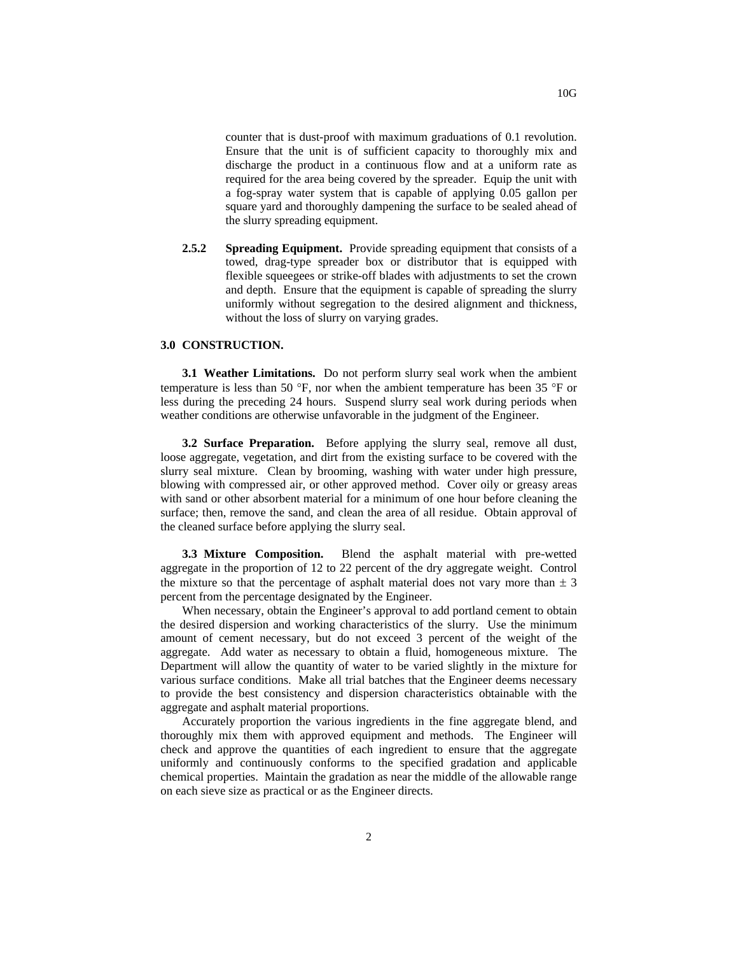counter that is dust-proof with maximum graduations of 0.1 revolution. Ensure that the unit is of sufficient capacity to thoroughly mix and discharge the product in a continuous flow and at a uniform rate as required for the area being covered by the spreader. Equip the unit with a fog-spray water system that is capable of applying 0.05 gallon per square yard and thoroughly dampening the surface to be sealed ahead of the slurry spreading equipment.

**2.5.2 Spreading Equipment.** Provide spreading equipment that consists of a towed, drag-type spreader box or distributor that is equipped with flexible squeegees or strike-off blades with adjustments to set the crown and depth. Ensure that the equipment is capable of spreading the slurry uniformly without segregation to the desired alignment and thickness, without the loss of slurry on varying grades.

## **3.0 CONSTRUCTION.**

**3.1 Weather Limitations.** Do not perform slurry seal work when the ambient temperature is less than 50 °F, nor when the ambient temperature has been 35 °F or less during the preceding 24 hours. Suspend slurry seal work during periods when weather conditions are otherwise unfavorable in the judgment of the Engineer.

**3.2 Surface Preparation.** Before applying the slurry seal, remove all dust, loose aggregate, vegetation, and dirt from the existing surface to be covered with the slurry seal mixture. Clean by brooming, washing with water under high pressure, blowing with compressed air, or other approved method. Cover oily or greasy areas with sand or other absorbent material for a minimum of one hour before cleaning the surface; then, remove the sand, and clean the area of all residue. Obtain approval of the cleaned surface before applying the slurry seal.

**3.3 Mixture Composition.** Blend the asphalt material with pre-wetted aggregate in the proportion of 12 to 22 percent of the dry aggregate weight. Control the mixture so that the percentage of asphalt material does not vary more than  $\pm$  3 percent from the percentage designated by the Engineer.

When necessary, obtain the Engineer's approval to add portland cement to obtain the desired dispersion and working characteristics of the slurry. Use the minimum amount of cement necessary, but do not exceed 3 percent of the weight of the aggregate. Add water as necessary to obtain a fluid, homogeneous mixture. The Department will allow the quantity of water to be varied slightly in the mixture for various surface conditions. Make all trial batches that the Engineer deems necessary to provide the best consistency and dispersion characteristics obtainable with the aggregate and asphalt material proportions.

Accurately proportion the various ingredients in the fine aggregate blend, and thoroughly mix them with approved equipment and methods. The Engineer will check and approve the quantities of each ingredient to ensure that the aggregate uniformly and continuously conforms to the specified gradation and applicable chemical properties. Maintain the gradation as near the middle of the allowable range on each sieve size as practical or as the Engineer directs.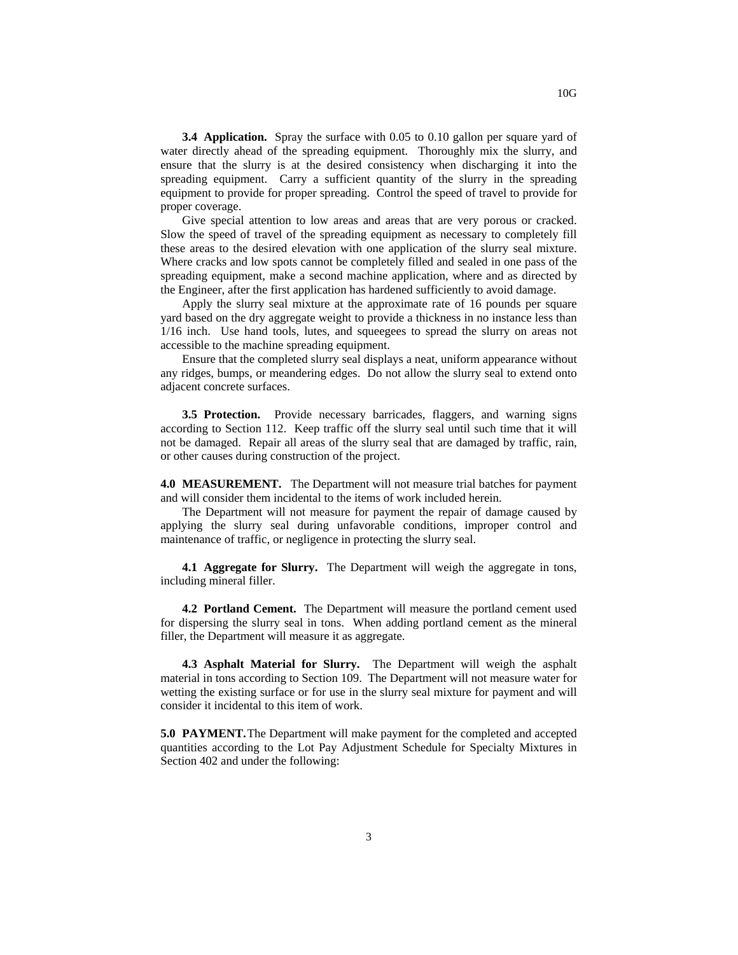**3.4 Application.** Spray the surface with 0.05 to 0.10 gallon per square yard of water directly ahead of the spreading equipment. Thoroughly mix the slurry, and ensure that the slurry is at the desired consistency when discharging it into the spreading equipment. Carry a sufficient quantity of the slurry in the spreading equipment to provide for proper spreading. Control the speed of travel to provide for proper coverage.

Give special attention to low areas and areas that are very porous or cracked. Slow the speed of travel of the spreading equipment as necessary to completely fill these areas to the desired elevation with one application of the slurry seal mixture. Where cracks and low spots cannot be completely filled and sealed in one pass of the spreading equipment, make a second machine application, where and as directed by the Engineer, after the first application has hardened sufficiently to avoid damage.

Apply the slurry seal mixture at the approximate rate of 16 pounds per square yard based on the dry aggregate weight to provide a thickness in no instance less than 1/16 inch. Use hand tools, lutes, and squeegees to spread the slurry on areas not accessible to the machine spreading equipment.

Ensure that the completed slurry seal displays a neat, uniform appearance without any ridges, bumps, or meandering edges. Do not allow the slurry seal to extend onto adjacent concrete surfaces.

**3.5 Protection.** Provide necessary barricades, flaggers, and warning signs according to Section 112. Keep traffic off the slurry seal until such time that it will not be damaged. Repair all areas of the slurry seal that are damaged by traffic, rain, or other causes during construction of the project.

**4.0 MEASUREMENT.** The Department will not measure trial batches for payment and will consider them incidental to the items of work included herein.

The Department will not measure for payment the repair of damage caused by applying the slurry seal during unfavorable conditions, improper control and maintenance of traffic, or negligence in protecting the slurry seal.

**4.1 Aggregate for Slurry.** The Department will weigh the aggregate in tons, including mineral filler.

**4.2 Portland Cement.** The Department will measure the portland cement used for dispersing the slurry seal in tons. When adding portland cement as the mineral filler, the Department will measure it as aggregate.

**4.3 Asphalt Material for Slurry.** The Department will weigh the asphalt material in tons according to Section 109. The Department will not measure water for wetting the existing surface or for use in the slurry seal mixture for payment and will consider it incidental to this item of work.

**5.0 PAYMENT.**The Department will make payment for the completed and accepted quantities according to the Lot Pay Adjustment Schedule for Specialty Mixtures in Section 402 and under the following: